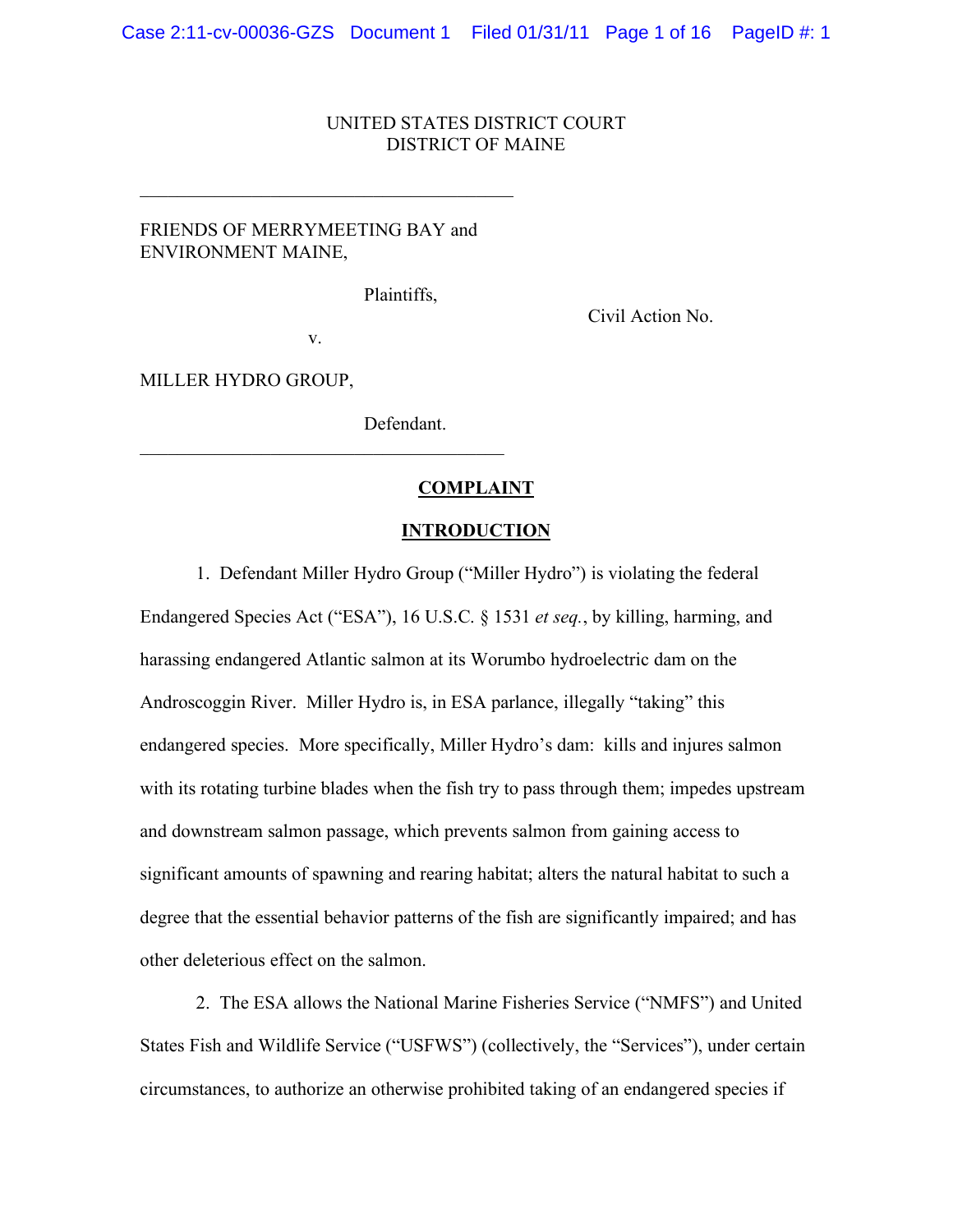## UNITED STATES DISTRICT COURT DISTRICT OF MAINE

# FRIENDS OF MERRYMEETING BAY and ENVIRONMENT MAINE,

 $\mathcal{L}_\text{max}$ 

Plaintiffs,

Civil Action No.

v.

 $\mathcal{L}_\text{max}$  and  $\mathcal{L}_\text{max}$  and  $\mathcal{L}_\text{max}$  and  $\mathcal{L}_\text{max}$ 

MILLER HYDRO GROUP,

Defendant.

## **COMPLAINT**

#### **INTRODUCTION**

1. Defendant Miller Hydro Group ("Miller Hydro") is violating the federal Endangered Species Act ("ESA"), 16 U.S.C. § 1531 *et seq.*, by killing, harming, and harassing endangered Atlantic salmon at its Worumbo hydroelectric dam on the Androscoggin River. Miller Hydro is, in ESA parlance, illegally "taking" this endangered species. More specifically, Miller Hydro's dam: kills and injures salmon with its rotating turbine blades when the fish try to pass through them; impedes upstream and downstream salmon passage, which prevents salmon from gaining access to significant amounts of spawning and rearing habitat; alters the natural habitat to such a degree that the essential behavior patterns of the fish are significantly impaired; and has other deleterious effect on the salmon.

2. The ESA allows the National Marine Fisheries Service ("NMFS") and United States Fish and Wildlife Service ("USFWS") (collectively, the "Services"), under certain circumstances, to authorize an otherwise prohibited taking of an endangered species if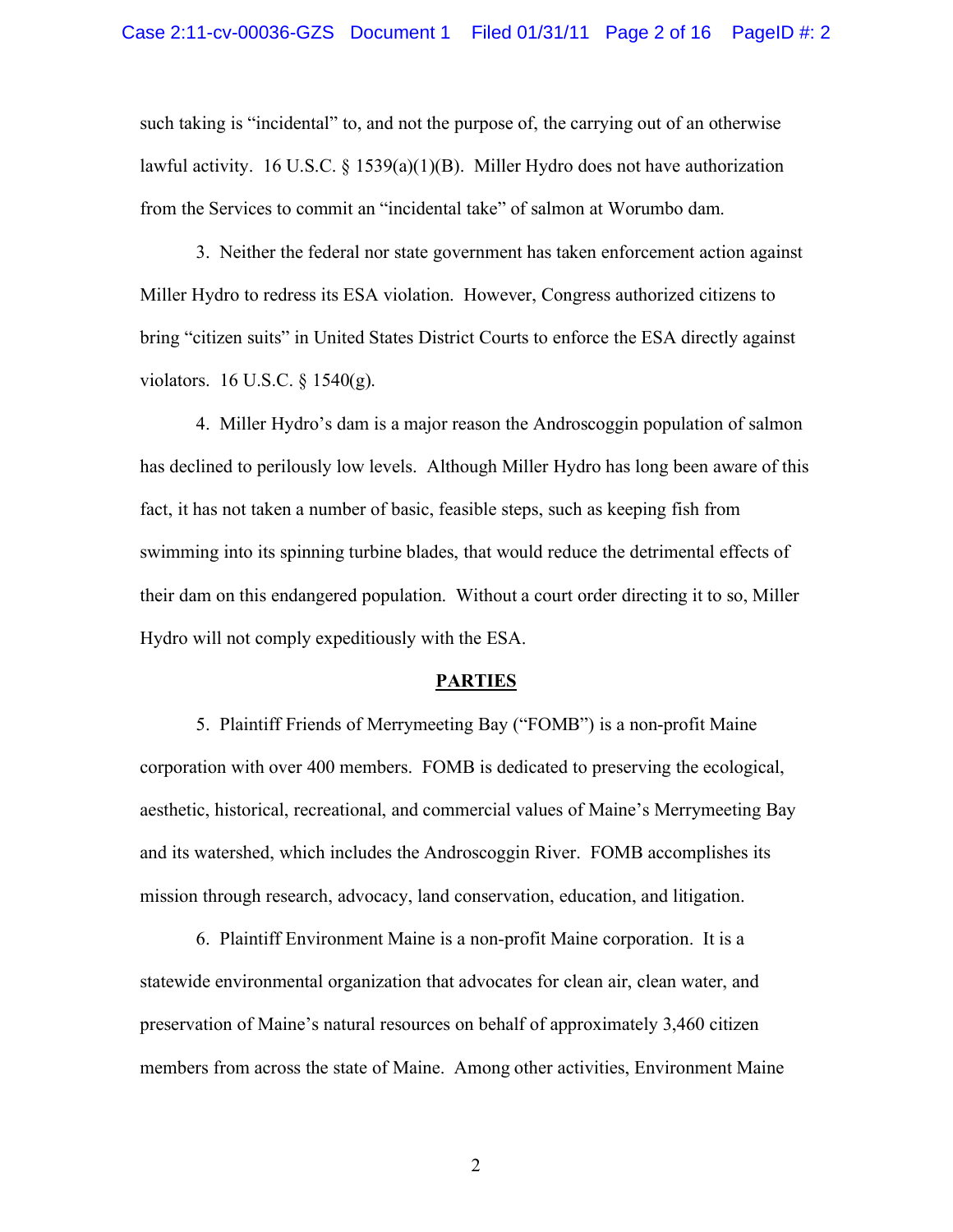such taking is "incidental" to, and not the purpose of, the carrying out of an otherwise lawful activity. 16 U.S.C. § 1539(a)(1)(B). Miller Hydro does not have authorization from the Services to commit an "incidental take" of salmon at Worumbo dam.

3. Neither the federal nor state government has taken enforcement action against Miller Hydro to redress its ESA violation. However, Congress authorized citizens to bring "citizen suits" in United States District Courts to enforce the ESA directly against violators. 16 U.S.C. § 1540(g).

4. Miller Hydro's dam is a major reason the Androscoggin population of salmon has declined to perilously low levels. Although Miller Hydro has long been aware of this fact, it has not taken a number of basic, feasible steps, such as keeping fish from swimming into its spinning turbine blades, that would reduce the detrimental effects of their dam on this endangered population. Without a court order directing it to so, Miller Hydro will not comply expeditiously with the ESA.

#### **PARTIES**

5. Plaintiff Friends of Merrymeeting Bay ("FOMB") is a non-profit Maine corporation with over 400 members. FOMB is dedicated to preserving the ecological, aesthetic, historical, recreational, and commercial values of Maine's Merrymeeting Bay and its watershed, which includes the Androscoggin River. FOMB accomplishes its mission through research, advocacy, land conservation, education, and litigation.

6. Plaintiff Environment Maine is a non-profit Maine corporation. It is a statewide environmental organization that advocates for clean air, clean water, and preservation of Maine's natural resources on behalf of approximately 3,460 citizen members from across the state of Maine. Among other activities, Environment Maine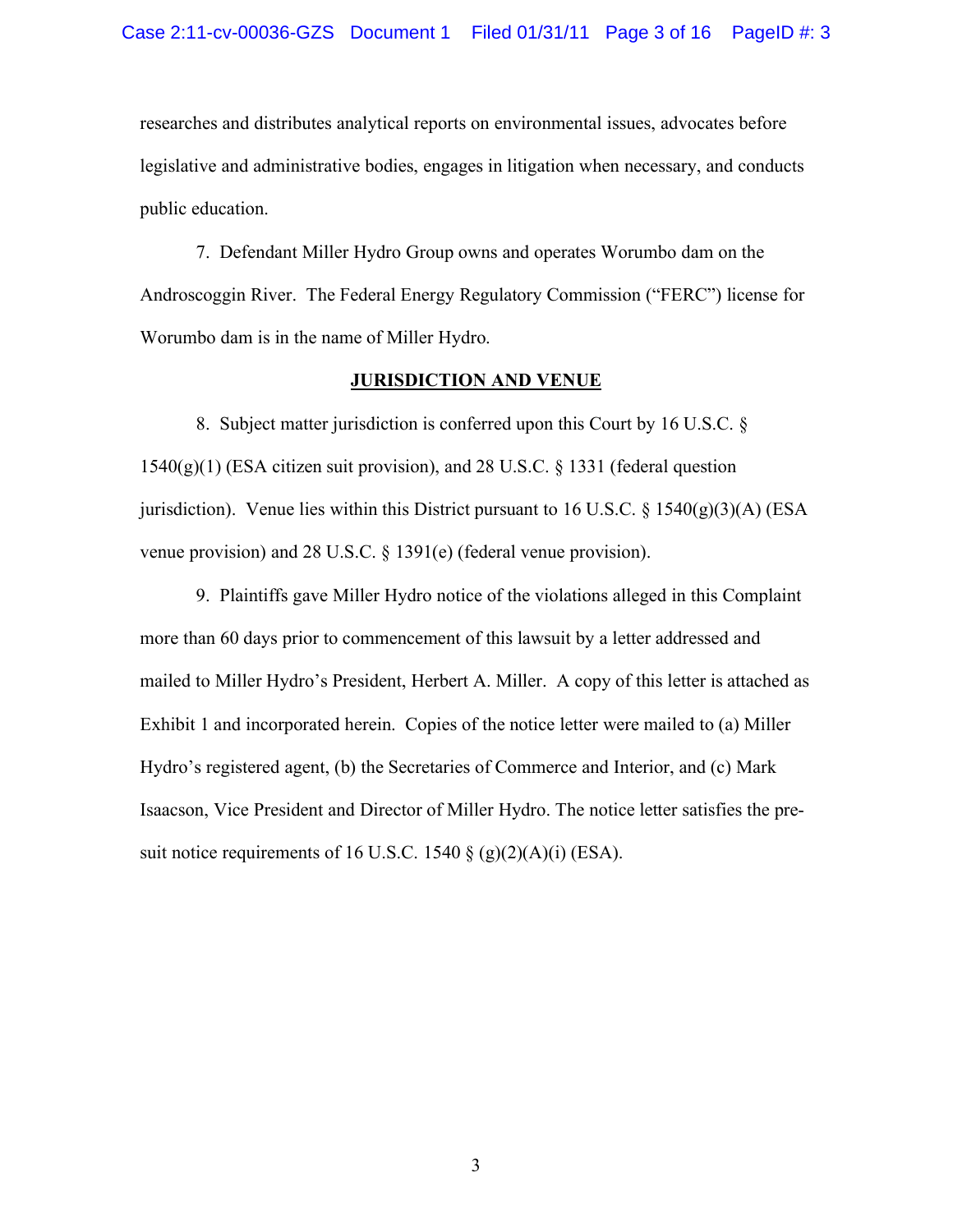researches and distributes analytical reports on environmental issues, advocates before legislative and administrative bodies, engages in litigation when necessary, and conducts public education.

7. Defendant Miller Hydro Group owns and operates Worumbo dam on the Androscoggin River. The Federal Energy Regulatory Commission ("FERC") license for Worumbo dam is in the name of Miller Hydro.

#### **JURISDICTION AND VENUE**

8. Subject matter jurisdiction is conferred upon this Court by 16 U.S.C. § 1540(g)(1) (ESA citizen suit provision), and 28 U.S.C. § 1331 (federal question jurisdiction). Venue lies within this District pursuant to 16 U.S.C.  $\S$  1540(g)(3)(A) (ESA venue provision) and 28 U.S.C. § 1391(e) (federal venue provision).

9. Plaintiffs gave Miller Hydro notice of the violations alleged in this Complaint more than 60 days prior to commencement of this lawsuit by a letter addressed and mailed to Miller Hydro's President, Herbert A. Miller. A copy of this letter is attached as Exhibit 1 and incorporated herein. Copies of the notice letter were mailed to (a) Miller Hydro's registered agent, (b) the Secretaries of Commerce and Interior, and (c) Mark Isaacson, Vice President and Director of Miller Hydro. The notice letter satisfies the presuit notice requirements of 16 U.S.C. 1540  $\S$  (g)(2)(A)(i) (ESA).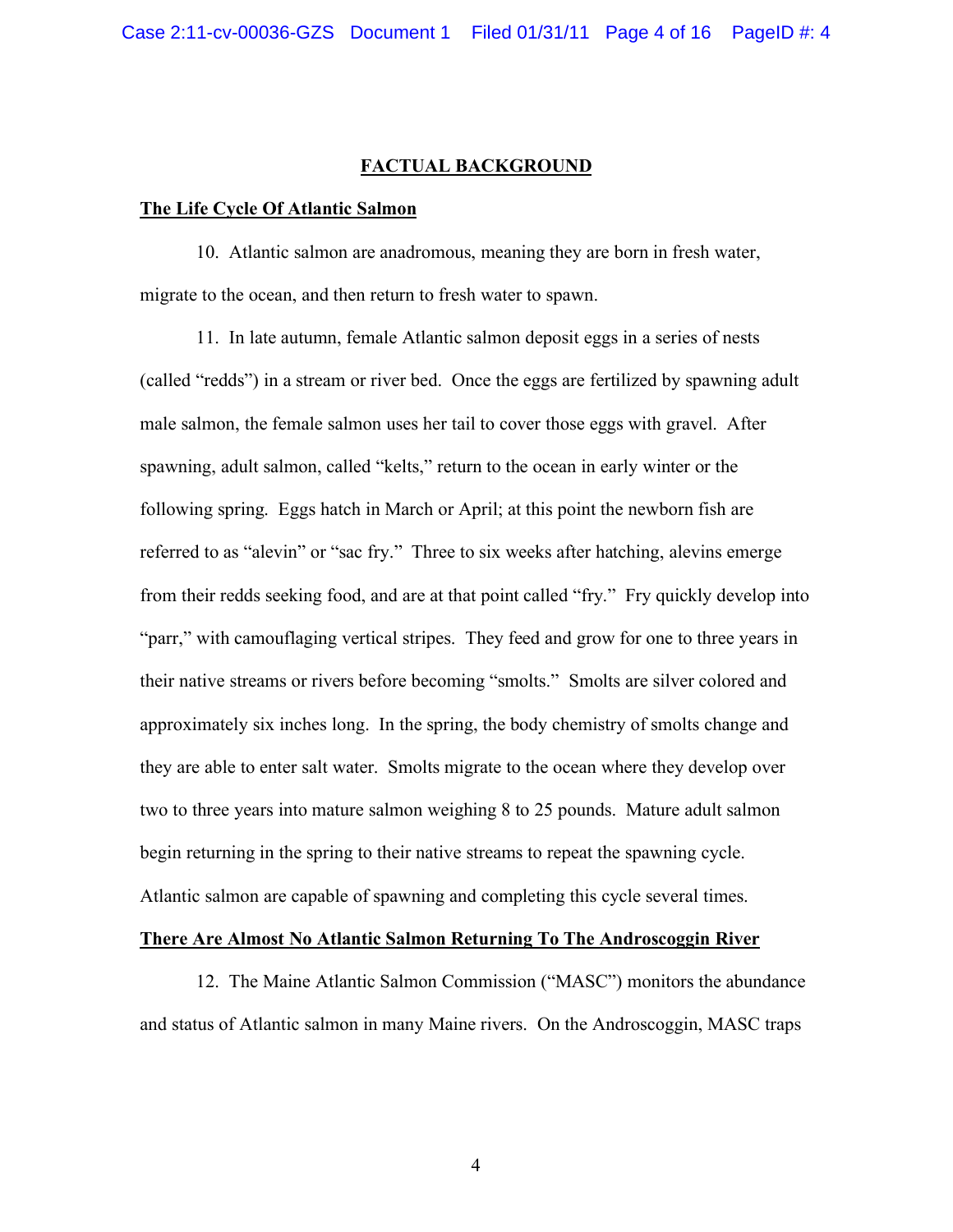## **FACTUAL BACKGROUND**

#### **The Life Cycle Of Atlantic Salmon**

10. Atlantic salmon are anadromous, meaning they are born in fresh water, migrate to the ocean, and then return to fresh water to spawn.

11. In late autumn, female Atlantic salmon deposit eggs in a series of nests (called "redds") in a stream or river bed. Once the eggs are fertilized by spawning adult male salmon, the female salmon uses her tail to cover those eggs with gravel. After spawning, adult salmon, called "kelts," return to the ocean in early winter or the following spring. Eggs hatch in March or April; at this point the newborn fish are referred to as "alevin" or "sac fry." Three to six weeks after hatching, alevins emerge from their redds seeking food, and are at that point called "fry." Fry quickly develop into "parr," with camouflaging vertical stripes. They feed and grow for one to three years in their native streams or rivers before becoming "smolts." Smolts are silver colored and approximately six inches long. In the spring, the body chemistry of smolts change and they are able to enter salt water. Smolts migrate to the ocean where they develop over two to three years into mature salmon weighing 8 to 25 pounds. Mature adult salmon begin returning in the spring to their native streams to repeat the spawning cycle. Atlantic salmon are capable of spawning and completing this cycle several times.

## **There Are Almost No Atlantic Salmon Returning To The Androscoggin River**

12. The Maine Atlantic Salmon Commission ("MASC") monitors the abundance and status of Atlantic salmon in many Maine rivers. On the Androscoggin, MASC traps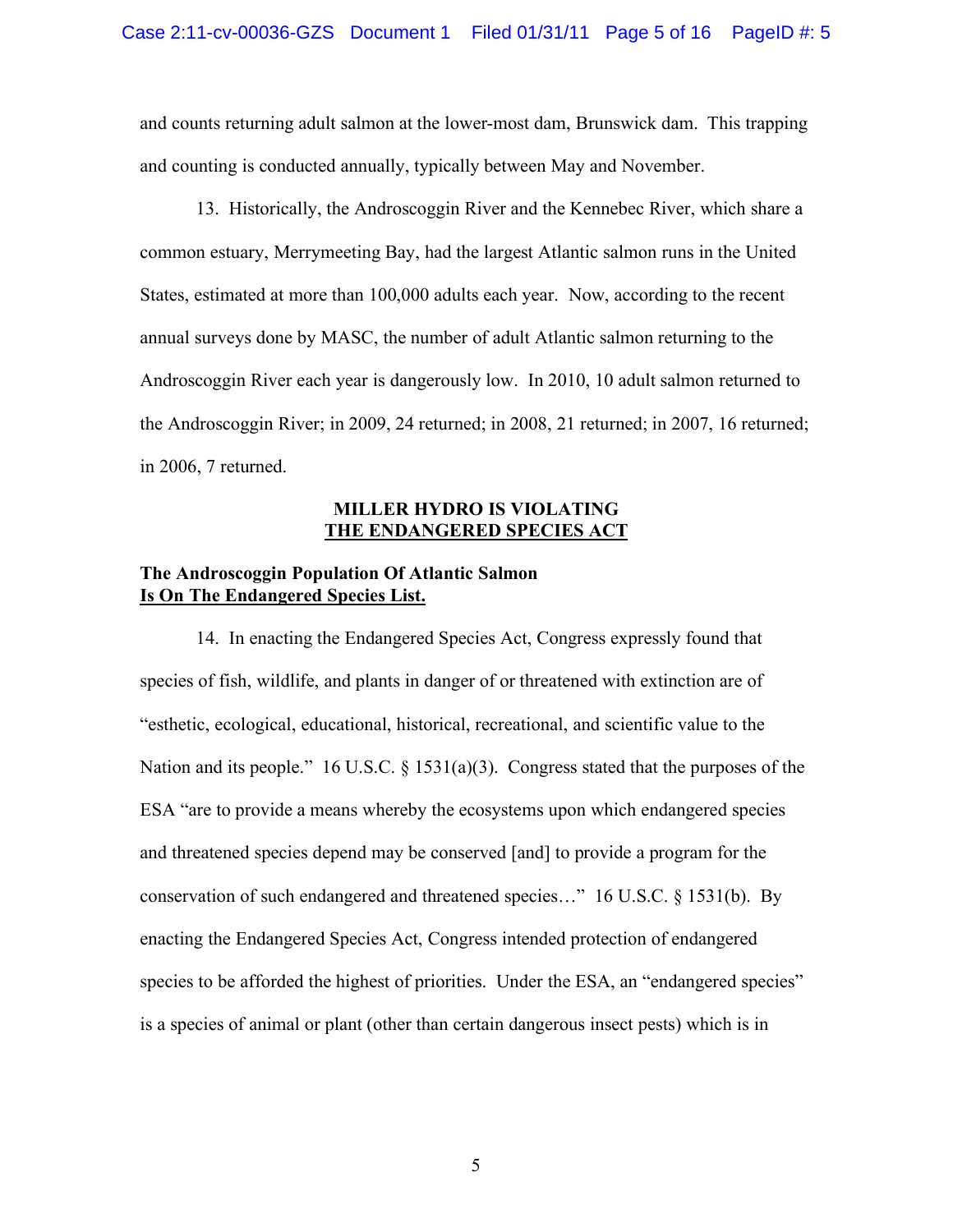and counts returning adult salmon at the lower-most dam, Brunswick dam. This trapping and counting is conducted annually, typically between May and November.

13. Historically, the Androscoggin River and the Kennebec River, which share a common estuary, Merrymeeting Bay, had the largest Atlantic salmon runs in the United States, estimated at more than 100,000 adults each year. Now, according to the recent annual surveys done by MASC, the number of adult Atlantic salmon returning to the Androscoggin River each year is dangerously low. In 2010, 10 adult salmon returned to the Androscoggin River; in 2009, 24 returned; in 2008, 21 returned; in 2007, 16 returned; in 2006, 7 returned.

## **MILLER HYDRO IS VIOLATING THE ENDANGERED SPECIES ACT**

# **The Androscoggin Population Of Atlantic Salmon Is On The Endangered Species List.**

14. In enacting the Endangered Species Act, Congress expressly found that species of fish, wildlife, and plants in danger of or threatened with extinction are of "esthetic, ecological, educational, historical, recreational, and scientific value to the Nation and its people." 16 U.S.C.  $\S$  1531(a)(3). Congress stated that the purposes of the ESA "are to provide a means whereby the ecosystems upon which endangered species and threatened species depend may be conserved [and] to provide a program for the conservation of such endangered and threatened species…" 16 U.S.C. § 1531(b). By enacting the Endangered Species Act, Congress intended protection of endangered species to be afforded the highest of priorities. Under the ESA, an "endangered species" is a species of animal or plant (other than certain dangerous insect pests) which is in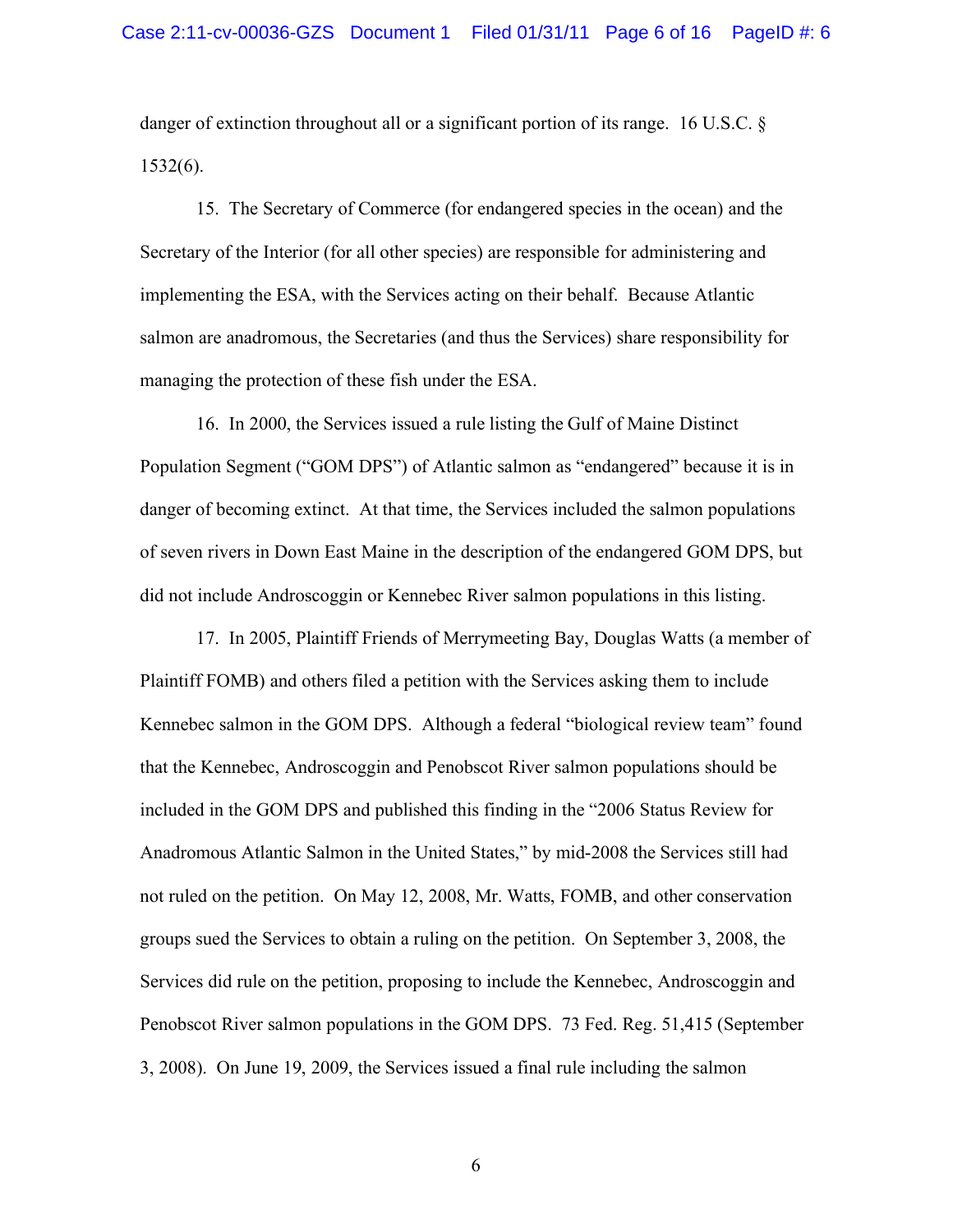danger of extinction throughout all or a significant portion of its range. 16 U.S.C. § 1532(6).

15. The Secretary of Commerce (for endangered species in the ocean) and the Secretary of the Interior (for all other species) are responsible for administering and implementing the ESA, with the Services acting on their behalf. Because Atlantic salmon are anadromous, the Secretaries (and thus the Services) share responsibility for managing the protection of these fish under the ESA.

16.In 2000, the Services issued a rule listing the Gulf of Maine Distinct Population Segment ("GOM DPS") of Atlantic salmon as "endangered" because it is in danger of becoming extinct. At that time, the Services included the salmon populations of seven rivers in Down East Maine in the description of the endangered GOM DPS, but did not include Androscoggin or Kennebec River salmon populations in this listing.

17. In 2005, Plaintiff Friends of Merrymeeting Bay, Douglas Watts (a member of Plaintiff FOMB) and others filed a petition with the Services asking them to include Kennebec salmon in the GOM DPS. Although a federal "biological review team" found that the Kennebec, Androscoggin and Penobscot River salmon populations should be included in the GOM DPS and published this finding in the "2006 Status Review for Anadromous Atlantic Salmon in the United States," by mid-2008 the Services still had not ruled on the petition. On May 12, 2008, Mr. Watts, FOMB, and other conservation groups sued the Services to obtain a ruling on the petition. On September 3, 2008, the Services did rule on the petition, proposing to include the Kennebec, Androscoggin and Penobscot River salmon populations in the GOM DPS. 73 Fed. Reg. 51,415 (September 3, 2008). On June 19, 2009, the Services issued a final rule including the salmon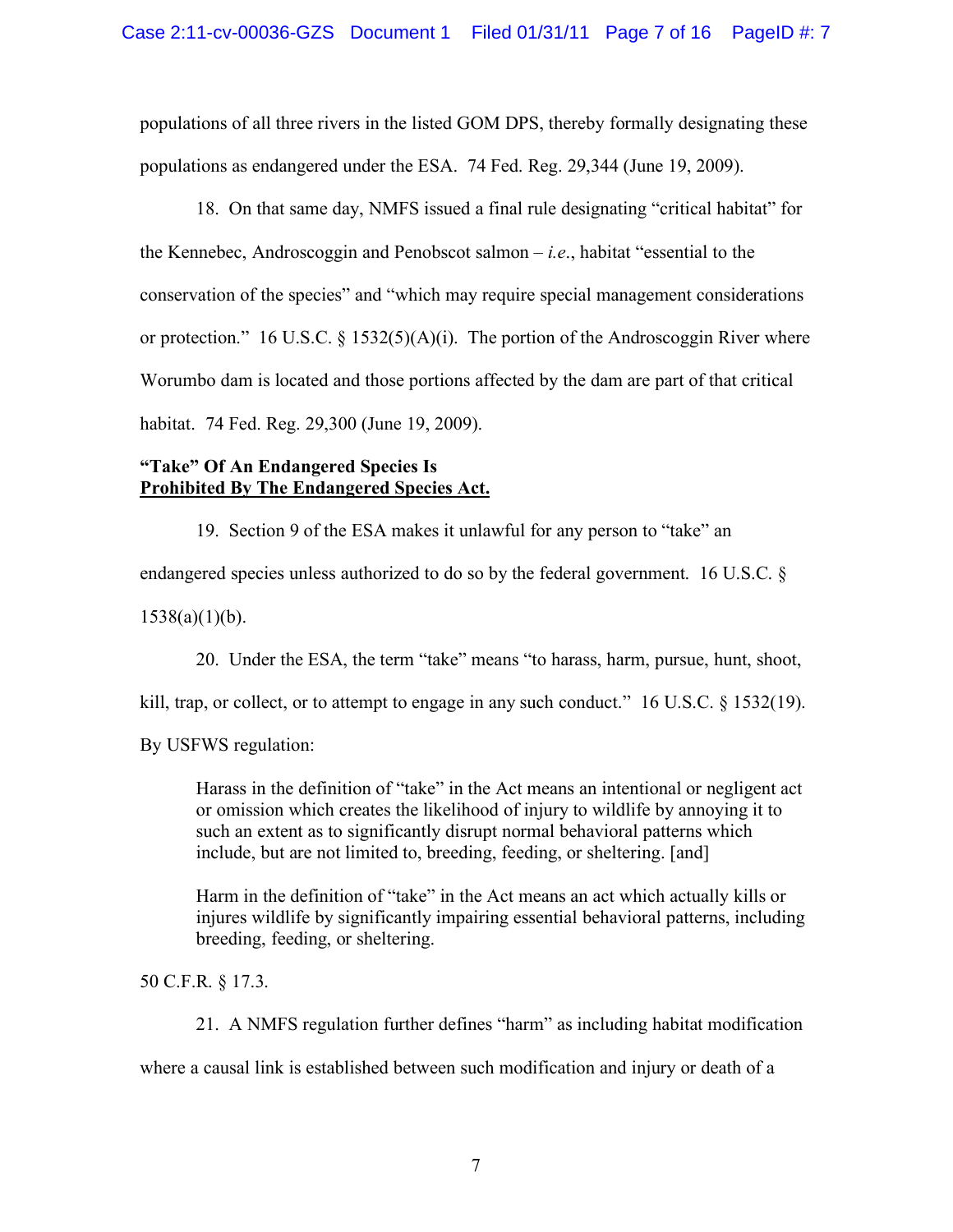populations of all three rivers in the listed GOM DPS, thereby formally designating these populations as endangered under the ESA. 74 Fed. Reg. 29,344 (June 19, 2009).

18. On that same day, NMFS issued a final rule designating "critical habitat" for the Kennebec, Androscoggin and Penobscot salmon – *i.e*., habitat "essential to the conservation of the species" and "which may require special management considerations or protection." 16 U.S.C. § 1532(5)(A)(i). The portion of the Androscoggin River where Worumbo dam is located and those portions affected by the dam are part of that critical habitat. 74 Fed. Reg. 29,300 (June 19, 2009).

# **"Take" Of An Endangered Species Is Prohibited By The Endangered Species Act.**

19. Section 9 of the ESA makes it unlawful for any person to "take" an

endangered species unless authorized to do so by the federal government. 16 U.S.C. §

 $1538(a)(1)(b)$ .

20. Under the ESA, the term "take" means "to harass, harm, pursue, hunt, shoot,

kill, trap, or collect, or to attempt to engage in any such conduct."  $16 \text{ U.S.C. }$  \$ 1532(19).

By USFWS regulation:

Harass in the definition of "take" in the Act means an intentional or negligent act or omission which creates the likelihood of injury to wildlife by annoying it to such an extent as to significantly disrupt normal behavioral patterns which include, but are not limited to, breeding, feeding, or sheltering. [and]

Harm in the definition of "take" in the Act means an act which actually kills or injures wildlife by significantly impairing essential behavioral patterns, including breeding, feeding, or sheltering.

50 C.F.R. § 17.3.

21. A NMFS regulation further defines "harm" as including habitat modification

where a causal link is established between such modification and injury or death of a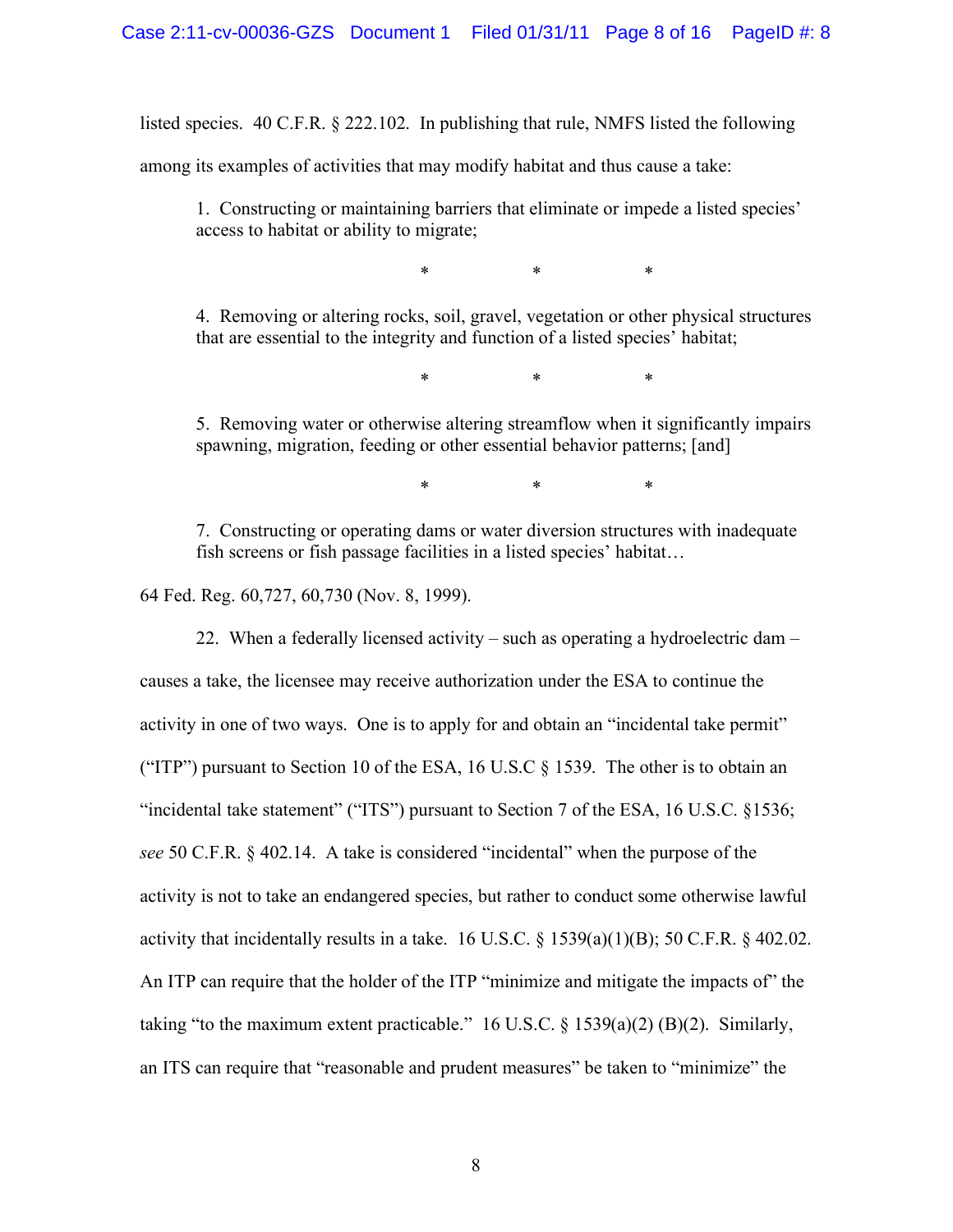listed species. 40 C.F.R. § 222.102. In publishing that rule, NMFS listed the following

among its examples of activities that may modify habitat and thus cause a take:

1. Constructing or maintaining barriers that eliminate or impede a listed species' access to habitat or ability to migrate;

\* \* \*

4. Removing or altering rocks, soil, gravel, vegetation or other physical structures that are essential to the integrity and function of a listed species' habitat;

\* \* \*

5. Removing water or otherwise altering streamflow when it significantly impairs spawning, migration, feeding or other essential behavior patterns; [and]

\* \* \*

7. Constructing or operating dams or water diversion structures with inadequate fish screens or fish passage facilities in a listed species' habitat…

64 Fed. Reg. 60,727, 60,730 (Nov. 8, 1999).

22. When a federally licensed activity – such as operating a hydroelectric dam – causes a take, the licensee may receive authorization under the ESA to continue the activity in one of two ways. One is to apply for and obtain an "incidental take permit" ("ITP") pursuant to Section 10 of the ESA, 16 U.S.C  $\S$  1539. The other is to obtain an "incidental take statement" ("ITS") pursuant to Section 7 of the ESA, 16 U.S.C. §1536; *see* 50 C.F.R. § 402.14. A take is considered "incidental" when the purpose of the activity is not to take an endangered species, but rather to conduct some otherwise lawful activity that incidentally results in a take. 16 U.S.C.  $\S$  1539(a)(1)(B); 50 C.F.R.  $\S$  402.02. An ITP can require that the holder of the ITP "minimize and mitigate the impacts of" the taking "to the maximum extent practicable." 16 U.S.C.  $\S$  1539(a)(2) (B)(2). Similarly, an ITS can require that "reasonable and prudent measures" be taken to "minimize" the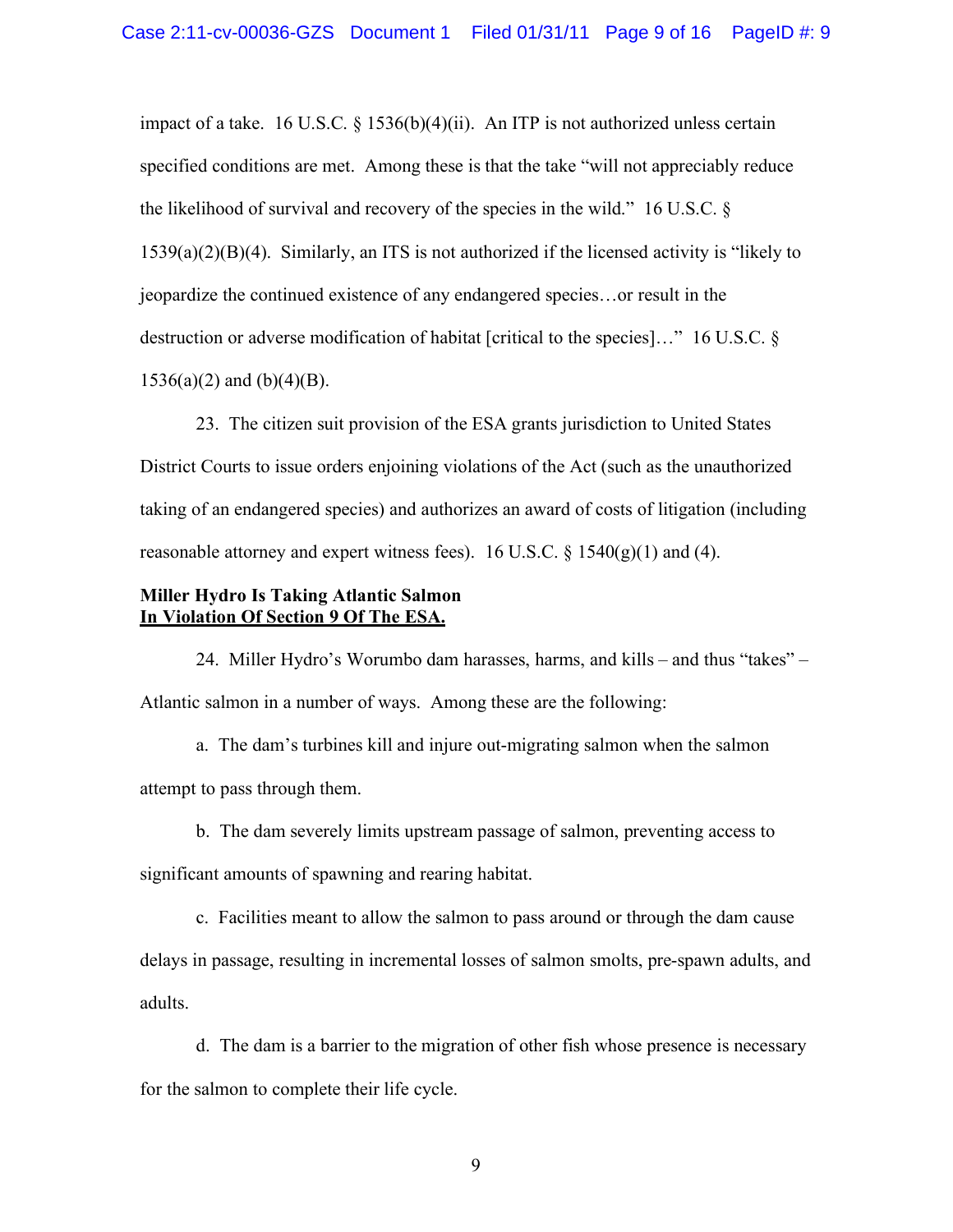impact of a take. 16 U.S.C. § 1536(b)(4)(ii). An ITP is not authorized unless certain specified conditions are met. Among these is that the take "will not appreciably reduce the likelihood of survival and recovery of the species in the wild." 16 U.S.C. § 1539(a)(2)(B)(4). Similarly, an ITS is not authorized if the licensed activity is "likely to jeopardize the continued existence of any endangered species…or result in the destruction or adverse modification of habitat [critical to the species]…" 16 U.S.C. §  $1536(a)(2)$  and  $(b)(4)(B)$ .

23. The citizen suit provision of the ESA grants jurisdiction to United States District Courts to issue orders enjoining violations of the Act (such as the unauthorized taking of an endangered species) and authorizes an award of costs of litigation (including reasonable attorney and expert witness fees). 16 U.S.C.  $\S$  1540(g)(1) and (4).

## **Miller Hydro Is Taking Atlantic Salmon In Violation Of Section 9 Of The ESA.**

24. Miller Hydro's Worumbo dam harasses, harms, and kills – and thus "takes" – Atlantic salmon in a number of ways. Among these are the following:

a. The dam's turbines kill and injure out-migrating salmon when the salmon attempt to pass through them.

b. The dam severely limits upstream passage of salmon, preventing access to

significant amounts of spawning and rearing habitat.

c. Facilities meant to allow the salmon to pass around or through the dam cause

delays in passage, resulting in incremental losses of salmon smolts, pre-spawn adults, and adults.

d. The dam is a barrier to the migration of other fish whose presence is necessary for the salmon to complete their life cycle.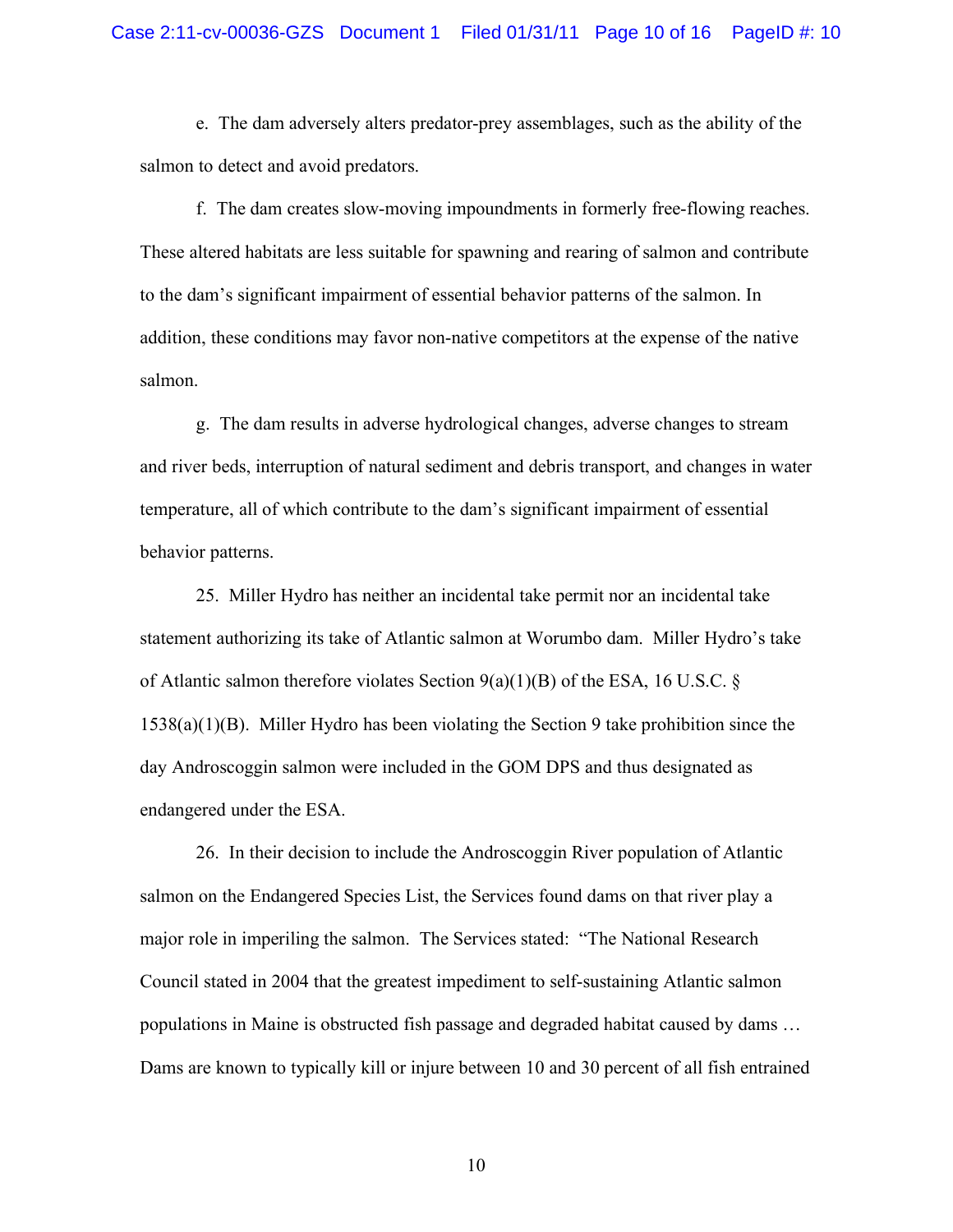e. The dam adversely alters predator-prey assemblages, such as the ability of the salmon to detect and avoid predators.

f. The dam creates slow-moving impoundments in formerly free-flowing reaches. These altered habitats are less suitable for spawning and rearing of salmon and contribute to the dam's significant impairment of essential behavior patterns of the salmon. In addition, these conditions may favor non-native competitors at the expense of the native salmon.

g. The dam results in adverse hydrological changes, adverse changes to stream and river beds, interruption of natural sediment and debris transport, and changes in water temperature, all of which contribute to the dam's significant impairment of essential behavior patterns.

25. Miller Hydro has neither an incidental take permit nor an incidental take statement authorizing its take of Atlantic salmon at Worumbo dam. Miller Hydro's take of Atlantic salmon therefore violates Section  $9(a)(1)(B)$  of the ESA, 16 U.S.C. § 1538(a)(1)(B). Miller Hydro has been violating the Section 9 take prohibition since the day Androscoggin salmon were included in the GOM DPS and thus designated as endangered under the ESA.

26. In their decision to include the Androscoggin River population of Atlantic salmon on the Endangered Species List, the Services found dams on that river play a major role in imperiling the salmon. The Services stated: "The National Research Council stated in 2004 that the greatest impediment to self-sustaining Atlantic salmon populations in Maine is obstructed fish passage and degraded habitat caused by dams … Dams are known to typically kill or injure between 10 and 30 percent of all fish entrained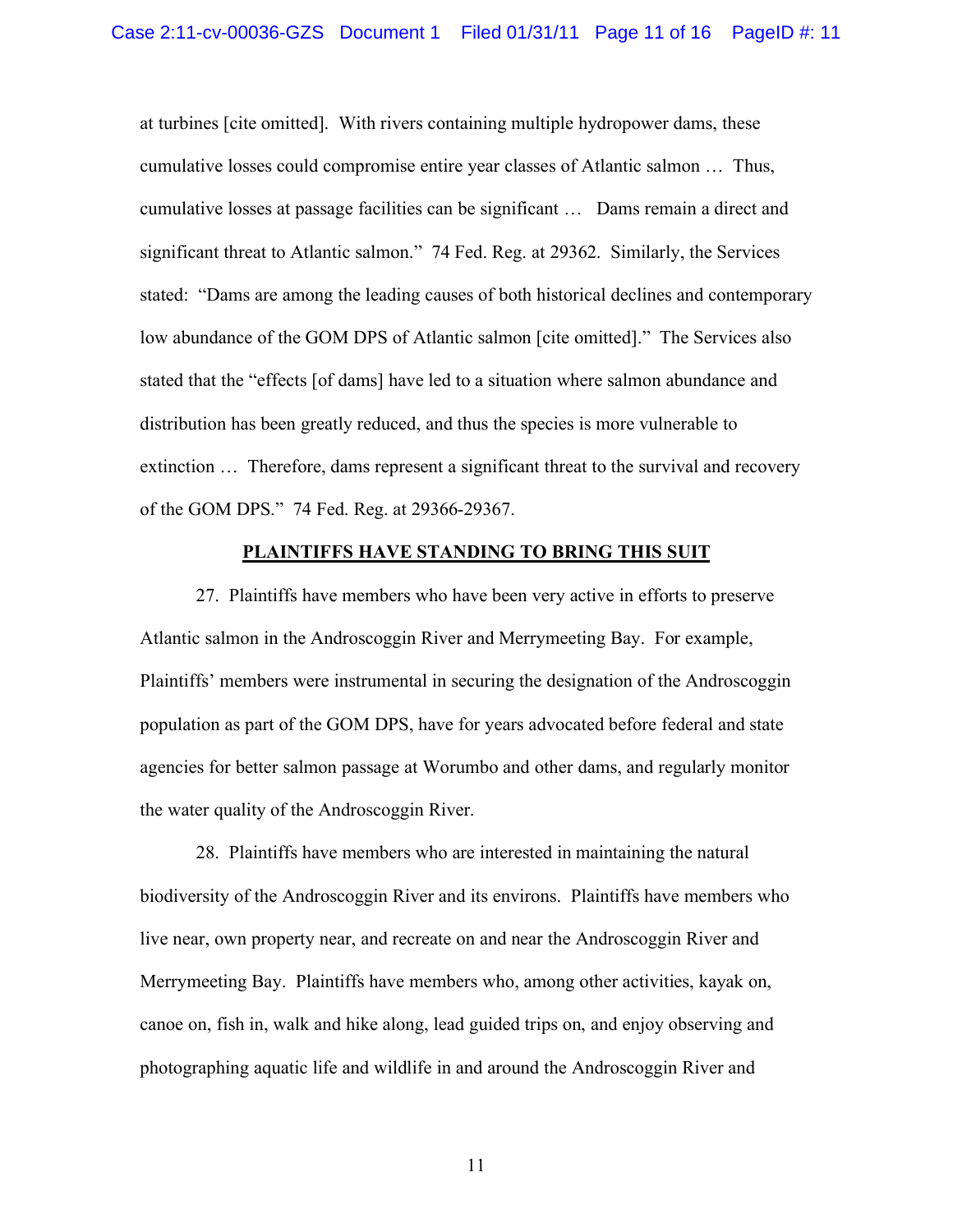at turbines [cite omitted]. With rivers containing multiple hydropower dams, these cumulative losses could compromise entire year classes of Atlantic salmon … Thus, cumulative losses at passage facilities can be significant … Dams remain a direct and significant threat to Atlantic salmon." 74 Fed. Reg. at 29362. Similarly, the Services stated: "Dams are among the leading causes of both historical declines and contemporary low abundance of the GOM DPS of Atlantic salmon [cite omitted]." The Services also stated that the "effects [of dams] have led to a situation where salmon abundance and distribution has been greatly reduced, and thus the species is more vulnerable to extinction … Therefore, dams represent a significant threat to the survival and recovery of the GOM DPS." 74 Fed. Reg. at 29366-29367.

#### **PLAINTIFFS HAVE STANDING TO BRING THIS SUIT**

27. Plaintiffs have members who have been very active in efforts to preserve Atlantic salmon in the Androscoggin River and Merrymeeting Bay. For example, Plaintiffs' members were instrumental in securing the designation of the Androscoggin population as part of the GOM DPS, have for years advocated before federal and state agencies for better salmon passage at Worumbo and other dams, and regularly monitor the water quality of the Androscoggin River.

28. Plaintiffs have members who are interested in maintaining the natural biodiversity of the Androscoggin River and its environs. Plaintiffs have members who live near, own property near, and recreate on and near the Androscoggin River and Merrymeeting Bay. Plaintiffs have members who, among other activities, kayak on, canoe on, fish in, walk and hike along, lead guided trips on, and enjoy observing and photographing aquatic life and wildlife in and around the Androscoggin River and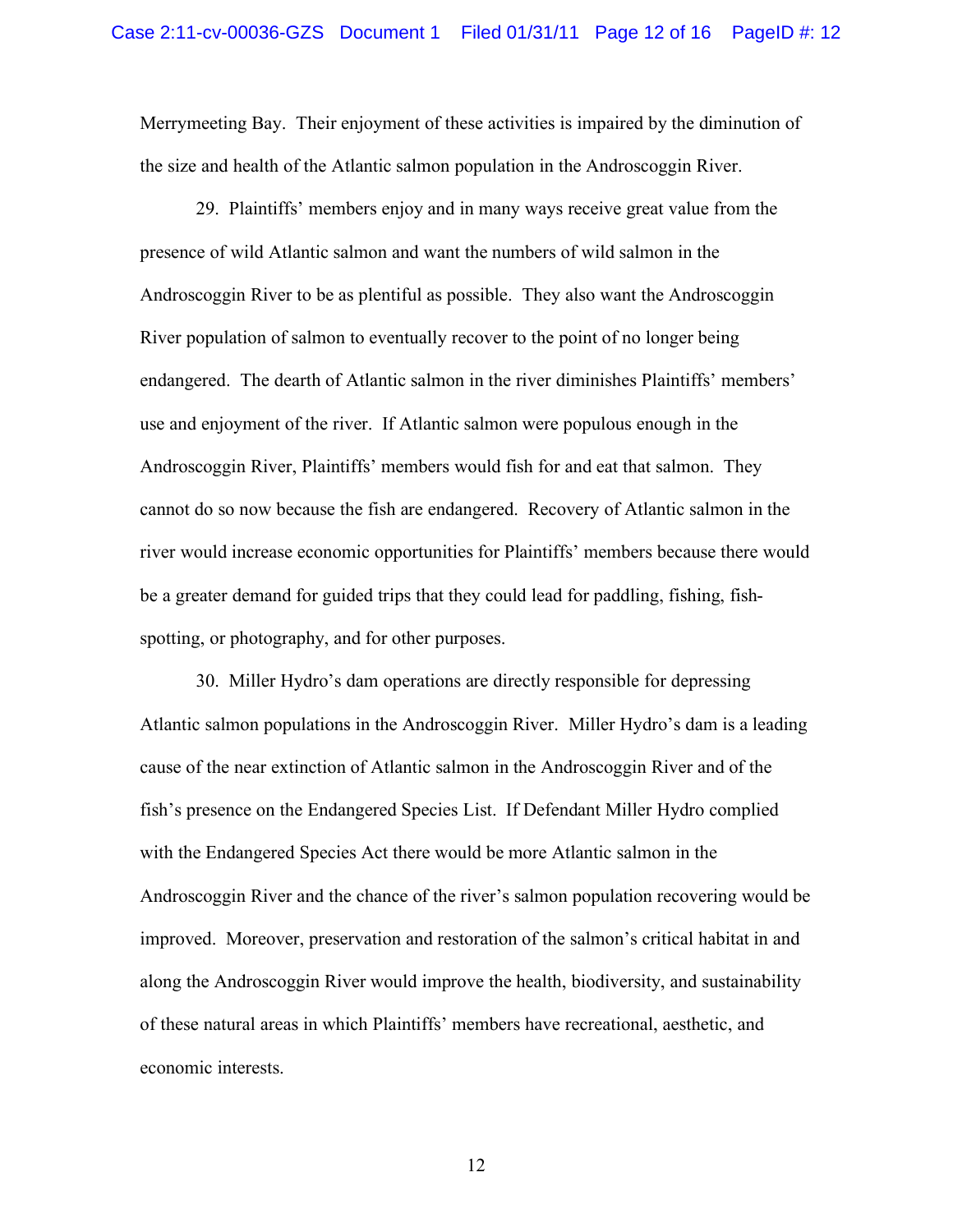Merrymeeting Bay. Their enjoyment of these activities is impaired by the diminution of the size and health of the Atlantic salmon population in the Androscoggin River.

29. Plaintiffs' members enjoy and in many ways receive great value from the presence of wild Atlantic salmon and want the numbers of wild salmon in the Androscoggin River to be as plentiful as possible. They also want the Androscoggin River population of salmon to eventually recover to the point of no longer being endangered. The dearth of Atlantic salmon in the river diminishes Plaintiffs' members' use and enjoyment of the river. If Atlantic salmon were populous enough in the Androscoggin River, Plaintiffs' members would fish for and eat that salmon. They cannot do so now because the fish are endangered. Recovery of Atlantic salmon in the river would increase economic opportunities for Plaintiffs' members because there would be a greater demand for guided trips that they could lead for paddling, fishing, fishspotting, or photography, and for other purposes.

30. Miller Hydro's dam operations are directly responsible for depressing Atlantic salmon populations in the Androscoggin River. Miller Hydro's dam is a leading cause of the near extinction of Atlantic salmon in the Androscoggin River and of the fish's presence on the Endangered Species List. If Defendant Miller Hydro complied with the Endangered Species Act there would be more Atlantic salmon in the Androscoggin River and the chance of the river's salmon population recovering would be improved. Moreover, preservation and restoration of the salmon's critical habitat in and along the Androscoggin River would improve the health, biodiversity, and sustainability of these natural areas in which Plaintiffs' members have recreational, aesthetic, and economic interests.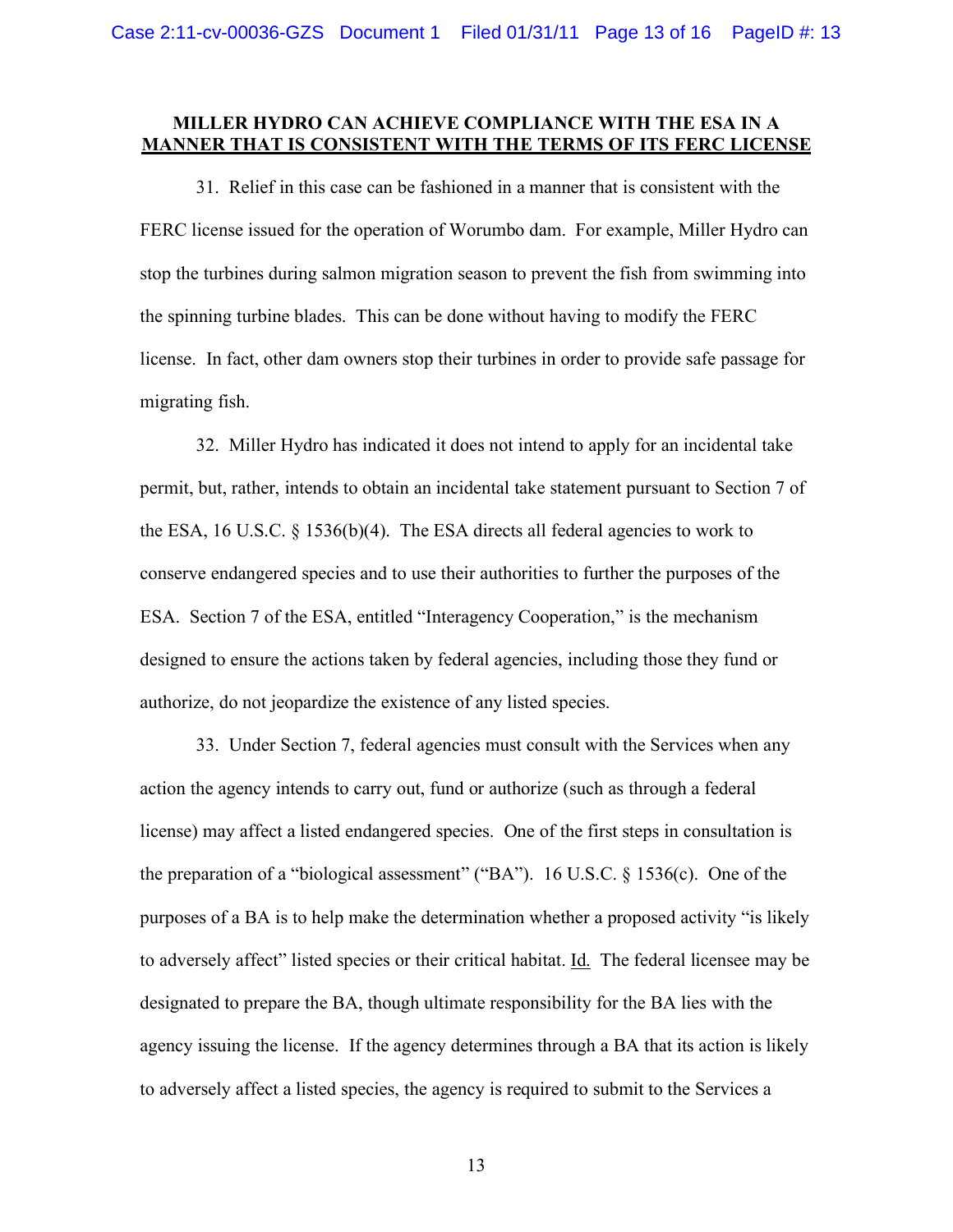## **MILLER HYDRO CAN ACHIEVE COMPLIANCE WITH THE ESA IN A MANNER THAT IS CONSISTENT WITH THE TERMS OF ITS FERC LICENSE**

31. Relief in this case can be fashioned in a manner that is consistent with the FERC license issued for the operation of Worumbo dam. For example, Miller Hydro can stop the turbines during salmon migration season to prevent the fish from swimming into the spinning turbine blades. This can be done without having to modify the FERC license. In fact, other dam owners stop their turbines in order to provide safe passage for migrating fish.

32. Miller Hydro has indicated it does not intend to apply for an incidental take permit, but, rather, intends to obtain an incidental take statement pursuant to Section 7 of the ESA, 16 U.S.C. § 1536(b)(4). The ESA directs all federal agencies to work to conserve endangered species and to use their authorities to further the purposes of the ESA. Section 7 of the ESA, entitled "Interagency Cooperation," is the mechanism designed to ensure the actions taken by federal agencies, including those they fund or authorize, do not jeopardize the existence of any listed species.

33. Under Section 7, federal agencies must consult with the Services when any action the agency intends to carry out, fund or authorize (such as through a federal license) may affect a listed endangered species. One of the first steps in consultation is the preparation of a "biological assessment" ("BA"). 16 U.S.C.  $\S$  1536(c). One of the purposes of a BA is to help make the determination whether a proposed activity "is likely to adversely affect" listed species or their critical habitat. Id. The federal licensee may be designated to prepare the BA, though ultimate responsibility for the BA lies with the agency issuing the license. If the agency determines through a BA that its action is likely to adversely affect a listed species, the agency is required to submit to the Services a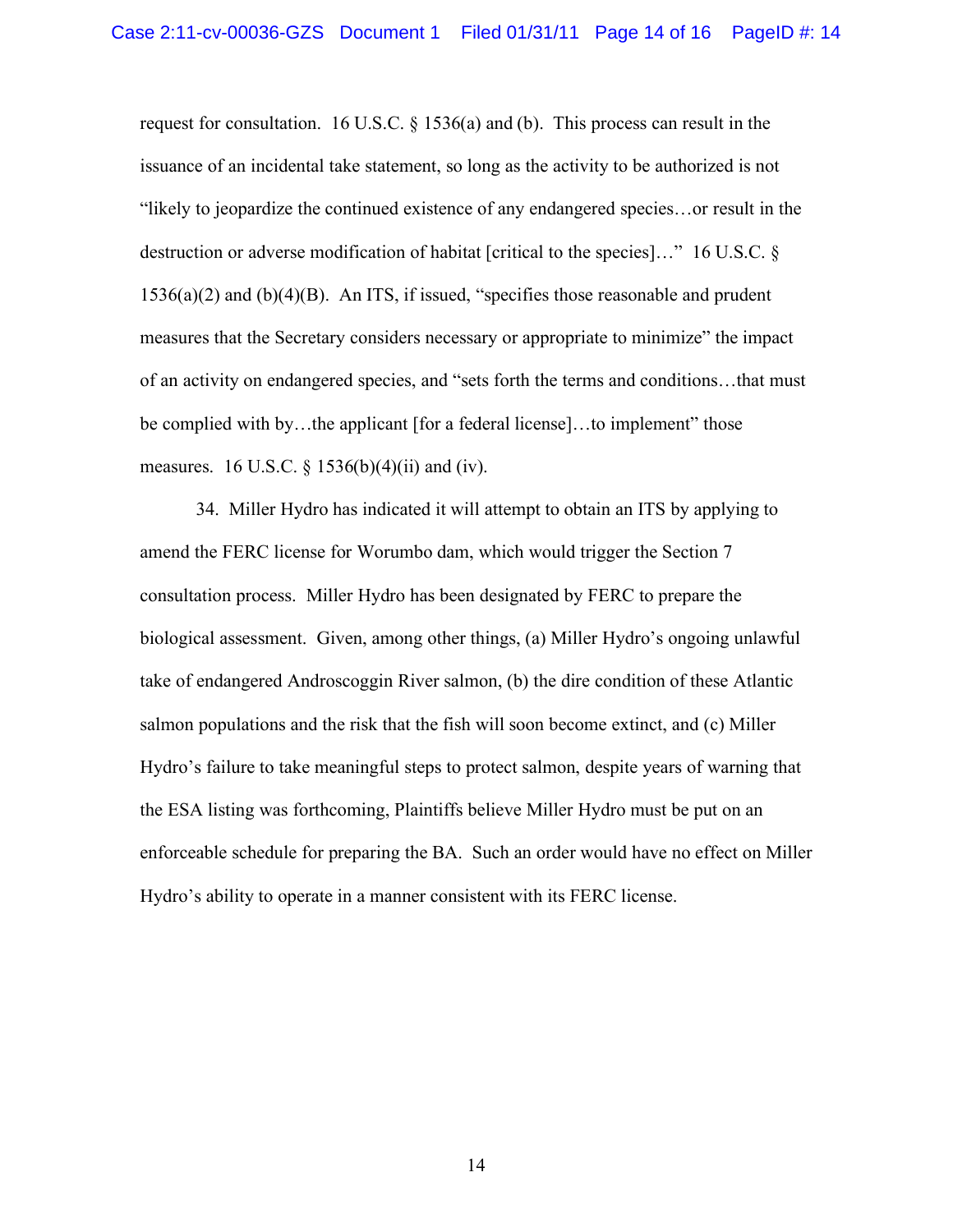request for consultation. 16 U.S.C. § 1536(a) and (b). This process can result in the issuance of an incidental take statement, so long as the activity to be authorized is not "likely to jeopardize the continued existence of any endangered species…or result in the destruction or adverse modification of habitat [critical to the species]…" 16 U.S.C. § 1536(a)(2) and (b)(4)(B). An ITS, if issued, "specifies those reasonable and prudent measures that the Secretary considers necessary or appropriate to minimize" the impact of an activity on endangered species, and "sets forth the terms and conditions…that must be complied with by...the applicant [for a federal license]...to implement" those measures. 16 U.S.C.  $\S 1536(b)(4)(ii)$  and (iv).

34. Miller Hydro has indicated it will attempt to obtain an ITS by applying to amend the FERC license for Worumbo dam, which would trigger the Section 7 consultation process. Miller Hydro has been designated by FERC to prepare the biological assessment. Given, among other things, (a) Miller Hydro's ongoing unlawful take of endangered Androscoggin River salmon, (b) the dire condition of these Atlantic salmon populations and the risk that the fish will soon become extinct, and (c) Miller Hydro's failure to take meaningful steps to protect salmon, despite years of warning that the ESA listing was forthcoming, Plaintiffs believe Miller Hydro must be put on an enforceable schedule for preparing the BA. Such an order would have no effect on Miller Hydro's ability to operate in a manner consistent with its FERC license.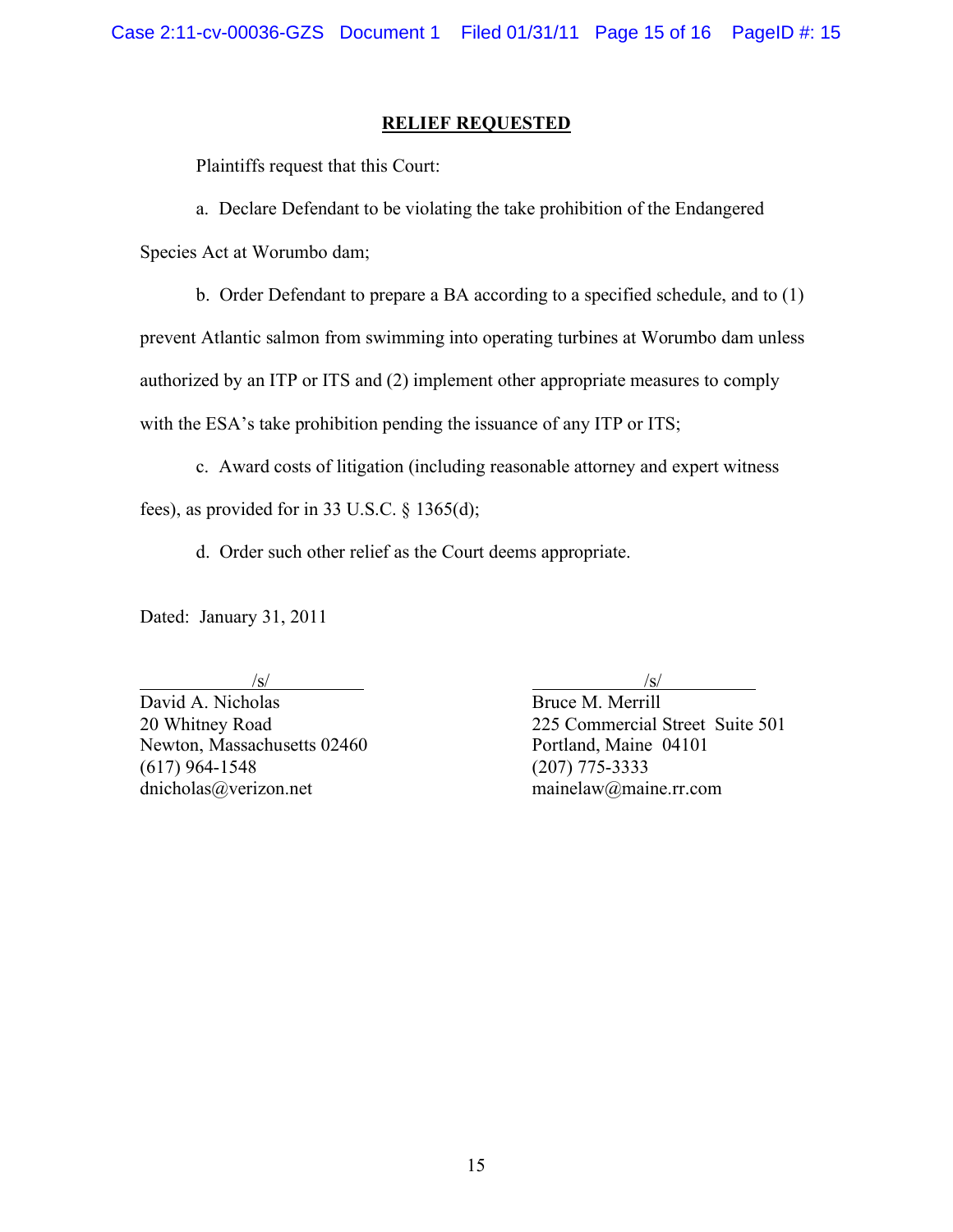## **RELIEF REQUESTED**

Plaintiffs request that this Court:

a. Declare Defendant to be violating the take prohibition of the Endangered

Species Act at Worumbo dam;

b. Order Defendant to prepare a BA according to a specified schedule, and to (1)

prevent Atlantic salmon from swimming into operating turbines at Worumbo dam unless

authorized by an ITP or ITS and (2) implement other appropriate measures to comply

with the ESA's take prohibition pending the issuance of any ITP or ITS;

c. Award costs of litigation (including reasonable attorney and expert witness

fees), as provided for in 33 U.S.C. § 1365(d);

d. Order such other relief as the Court deems appropriate.

Dated: January 31, 2011

David A. Nicholas Bruce M. Merrill Newton, Massachusetts 02460 Portland, Maine 04101 (617) 964-1548 (207) 775-3333 dnicholas@verizon.net mainelaw@maine.rr.com

 $\sqrt{s}$ /s/

20 Whitney Road 225 Commercial Street Suite 501